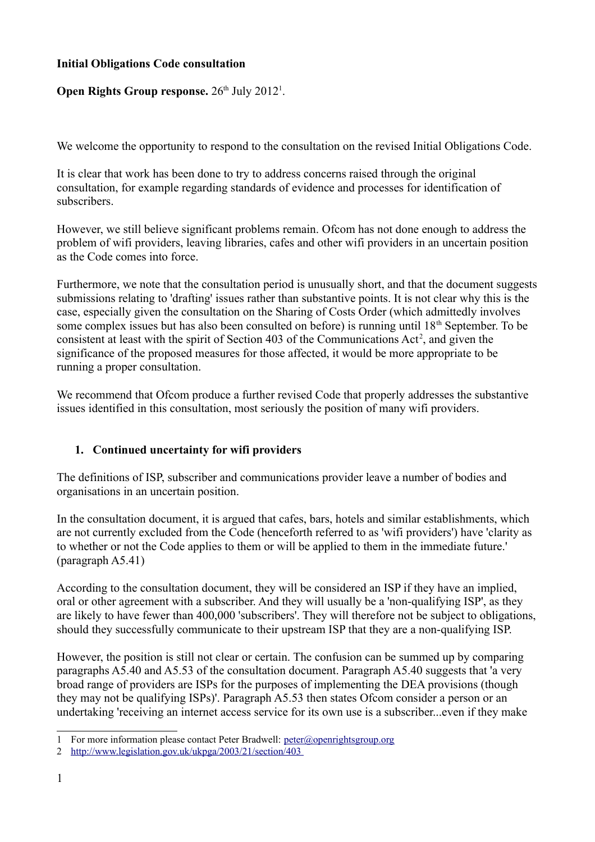### **Initial Obligations Code consultation**

# **Open Rights Group response.** 26<sup>th</sup> July 20[1](#page-0-0)2<sup>1</sup>.

We welcome the opportunity to respond to the consultation on the revised Initial Obligations Code.

It is clear that work has been done to try to address concerns raised through the original consultation, for example regarding standards of evidence and processes for identification of subscribers.

However, we still believe significant problems remain. Ofcom has not done enough to address the problem of wifi providers, leaving libraries, cafes and other wifi providers in an uncertain position as the Code comes into force.

Furthermore, we note that the consultation period is unusually short, and that the document suggests submissions relating to 'drafting' issues rather than substantive points. It is not clear why this is the case, especially given the consultation on the Sharing of Costs Order (which admittedly involves some complex issues but has also been consulted on before) is running until 18<sup>th</sup> September. To be consistent at least with the spirit of Section 403 of the Communications  $Act^2$  $Act^2$ , and given the significance of the proposed measures for those affected, it would be more appropriate to be running a proper consultation.

We recommend that Ofcom produce a further revised Code that properly addresses the substantive issues identified in this consultation, most seriously the position of many wifi providers.

# **1. Continued uncertainty for wifi providers**

The definitions of ISP, subscriber and communications provider leave a number of bodies and organisations in an uncertain position.

In the consultation document, it is argued that cafes, bars, hotels and similar establishments, which are not currently excluded from the Code (henceforth referred to as 'wifi providers') have 'clarity as to whether or not the Code applies to them or will be applied to them in the immediate future.' (paragraph A5.41)

According to the consultation document, they will be considered an ISP if they have an implied, oral or other agreement with a subscriber. And they will usually be a 'non-qualifying ISP', as they are likely to have fewer than 400,000 'subscribers'. They will therefore not be subject to obligations, should they successfully communicate to their upstream ISP that they are a non-qualifying ISP.

However, the position is still not clear or certain. The confusion can be summed up by comparing paragraphs A5.40 and A5.53 of the consultation document. Paragraph A5.40 suggests that 'a very broad range of providers are ISPs for the purposes of implementing the DEA provisions (though they may not be qualifying ISPs)'. Paragraph A5.53 then states Ofcom consider a person or an undertaking 'receiving an internet access service for its own use is a subscriber...even if they make

<span id="page-0-0"></span><sup>1</sup> For more information please contact Peter Bradwell: [peter@openrightsgroup.org](mailto:peter@openrightsgroup.org)

<span id="page-0-1"></span><sup>2</sup><http://www.legislation.gov.uk/ukpga/2003/21/section/403>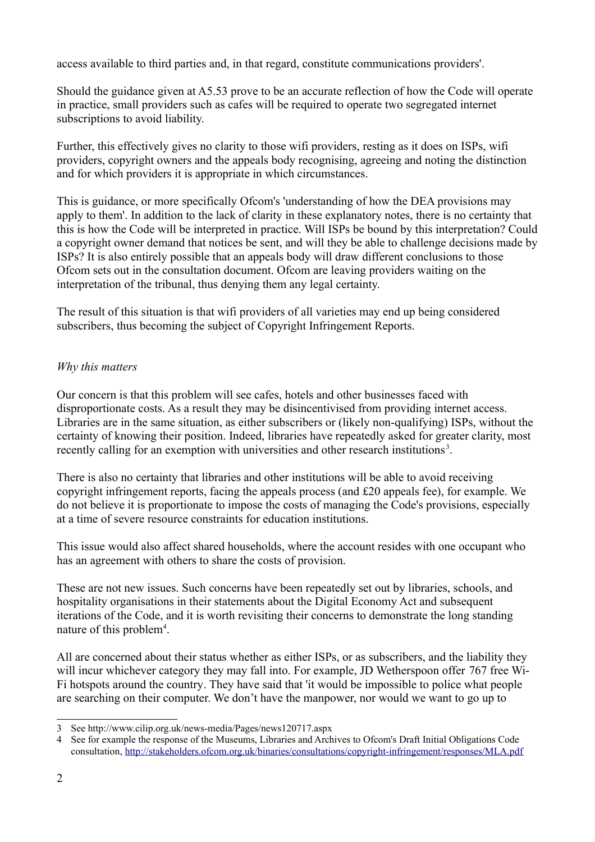access available to third parties and, in that regard, constitute communications providers'.

Should the guidance given at A5.53 prove to be an accurate reflection of how the Code will operate in practice, small providers such as cafes will be required to operate two segregated internet subscriptions to avoid liability.

Further, this effectively gives no clarity to those wifi providers, resting as it does on ISPs, wifi providers, copyright owners and the appeals body recognising, agreeing and noting the distinction and for which providers it is appropriate in which circumstances.

This is guidance, or more specifically Ofcom's 'understanding of how the DEA provisions may apply to them'. In addition to the lack of clarity in these explanatory notes, there is no certainty that this is how the Code will be interpreted in practice. Will ISPs be bound by this interpretation? Could a copyright owner demand that notices be sent, and will they be able to challenge decisions made by ISPs? It is also entirely possible that an appeals body will draw different conclusions to those Ofcom sets out in the consultation document. Ofcom are leaving providers waiting on the interpretation of the tribunal, thus denying them any legal certainty.

The result of this situation is that wifi providers of all varieties may end up being considered subscribers, thus becoming the subject of Copyright Infringement Reports.

# *Why this matters*

Our concern is that this problem will see cafes, hotels and other businesses faced with disproportionate costs. As a result they may be disincentivised from providing internet access. Libraries are in the same situation, as either subscribers or (likely non-qualifying) ISPs, without the certainty of knowing their position. Indeed, libraries have repeatedly asked for greater clarity, most recently calling for an exemption with universities and other research institutions<sup>[3](#page-1-0)</sup>.

There is also no certainty that libraries and other institutions will be able to avoid receiving copyright infringement reports, facing the appeals process (and £20 appeals fee), for example. We do not believe it is proportionate to impose the costs of managing the Code's provisions, especially at a time of severe resource constraints for education institutions.

This issue would also affect shared households, where the account resides with one occupant who has an agreement with others to share the costs of provision.

These are not new issues. Such concerns have been repeatedly set out by libraries, schools, and hospitality organisations in their statements about the Digital Economy Act and subsequent iterations of the Code, and it is worth revisiting their concerns to demonstrate the long standing nature of this problem<sup>[4](#page-1-1)</sup>.

All are concerned about their status whether as either ISPs, or as subscribers, and the liability they will incur whichever category they may fall into. For example, JD Wetherspoon offer 767 free Wi-Fi hotspots around the country. They have said that 'it would be impossible to police what people are searching on their computer. We don't have the manpower, nor would we want to go up to

<span id="page-1-0"></span><sup>3</sup> See http://www.cilip.org.uk/news-media/Pages/news120717.aspx

<span id="page-1-1"></span><sup>4</sup> See for example the response of the Museums, Libraries and Archives to Ofcom's Draft Initial Obligations Code consultation,<http://stakeholders.ofcom.org.uk/binaries/consultations/copyright-infringement/responses/MLA.pdf>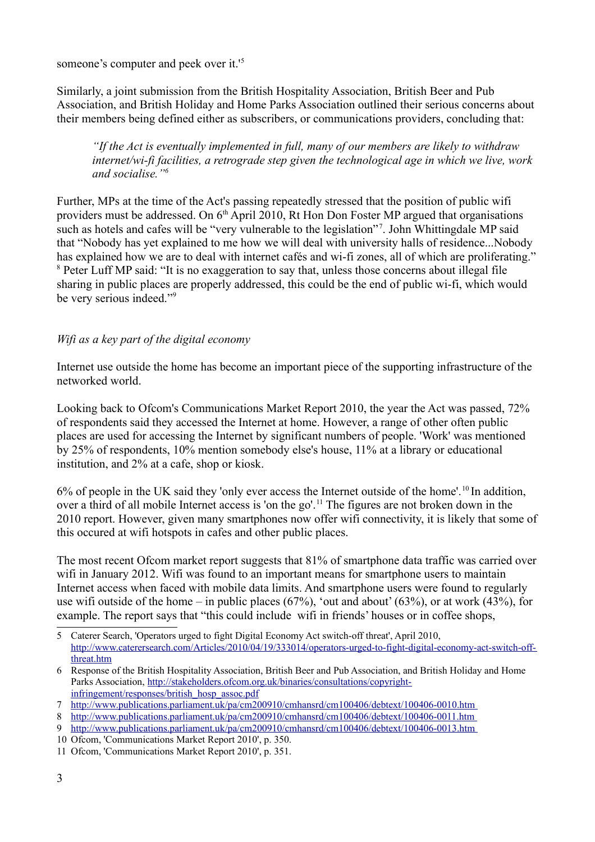someone's computer and peek over it.'[5](#page-2-0)

Similarly, a joint submission from the British Hospitality Association, British Beer and Pub Association, and British Holiday and Home Parks Association outlined their serious concerns about their members being defined either as subscribers, or communications providers, concluding that:

*"If the Act is eventually implemented in full, many of our members are likely to withdraw internet/wi-fi facilities, a retrograde step given the technological age in which we live, work and socialise."[6](#page-2-1)*

Further, MPs at the time of the Act's passing repeatedly stressed that the position of public wifi providers must be addressed. On 6<sup>th</sup> April 2010, Rt Hon Don Foster MP argued that organisations such as hotels and cafes will be "very vulnerable to the legislation"<sup>[7](#page-2-2)</sup>. John Whittingdale MP said that "Nobody has yet explained to me how we will deal with university halls of residence...Nobody has explained how we are to deal with internet cafés and wi-fi zones, all of which are proliferating." <sup>[8](#page-2-3)</sup> Peter Luff MP said: "It is no exaggeration to say that, unless those concerns about illegal file sharing in public places are properly addressed, this could be the end of public wi-fi, which would be very serious indeed."[9](#page-2-4)

### *Wifi as a key part of the digital economy*

Internet use outside the home has become an important piece of the supporting infrastructure of the networked world.

Looking back to Ofcom's Communications Market Report 2010, the year the Act was passed, 72% of respondents said they accessed the Internet at home. However, a range of other often public places are used for accessing the Internet by significant numbers of people. 'Work' was mentioned by 25% of respondents, 10% mention somebody else's house, 11% at a library or educational institution, and 2% at a cafe, shop or kiosk.

6% of people in the UK said they 'only ever access the Internet outside of the home'.[10](#page-2-5) In addition, over a third of all mobile Internet access is 'on the go'.<sup>[11](#page-2-6)</sup> The figures are not broken down in the 2010 report. However, given many smartphones now offer wifi connectivity, it is likely that some of this occured at wifi hotspots in cafes and other public places.

The most recent Ofcom market report suggests that 81% of smartphone data traffic was carried over wifi in January 2012. Wifi was found to an important means for smartphone users to maintain Internet access when faced with mobile data limits. And smartphone users were found to regularly use wifi outside of the home – in public places  $(67%)$ , 'out and about'  $(63%)$ , or at work  $(43%)$ , for example. The report says that "this could include wifi in friends' houses or in coffee shops,

<span id="page-2-0"></span><sup>5</sup> Caterer Search, 'Operators urged to fight Digital Economy Act switch-off threat', April 2010, [http://www.caterersearch.com/Articles/2010/04/19/333014/operators-urged-to-fight-digital-economy-act-switch-off](http://www.caterersearch.com/Articles/2010/04/19/333014/operators-urged-to-fight-digital-economy-act-switch-off-threat.htm)[threat.htm](http://www.caterersearch.com/Articles/2010/04/19/333014/operators-urged-to-fight-digital-economy-act-switch-off-threat.htm) 

<span id="page-2-1"></span><sup>6</sup> Response of the British Hospitality Association, British Beer and Pub Association, and British Holiday and Home Parks Association, [http://stakeholders.ofcom.org.uk/binaries/consultations/copyright](http://stakeholders.ofcom.org.uk/binaries/consultations/copyright-infringement/responses/british_hosp_assoc.pdf)[infringement/responses/british\\_hosp\\_assoc.pdf](http://stakeholders.ofcom.org.uk/binaries/consultations/copyright-infringement/responses/british_hosp_assoc.pdf)

<span id="page-2-2"></span><sup>7</sup><http://www.publications.parliament.uk/pa/cm200910/cmhansrd/cm100406/debtext/100406-0010.htm>

<span id="page-2-3"></span><sup>8</sup> <http://www.publications.parliament.uk/pa/cm200910/cmhansrd/cm100406/debtext/100406-0011.htm>

<span id="page-2-4"></span><sup>9</sup> <http://www.publications.parliament.uk/pa/cm200910/cmhansrd/cm100406/debtext/100406-0013.htm>

<span id="page-2-5"></span><sup>10</sup> Ofcom, 'Communications Market Report 2010', p. 350.

<span id="page-2-6"></span><sup>11</sup> Ofcom, 'Communications Market Report 2010', p. 351.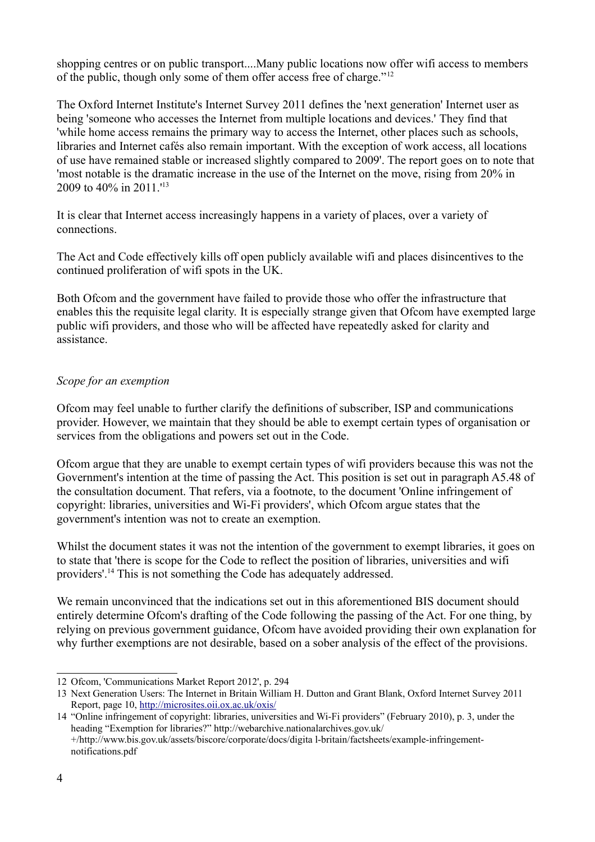shopping centres or on public transport....Many public locations now offer wifi access to members of the public, though only some of them offer access free of charge."[12](#page-3-0)

The Oxford Internet Institute's Internet Survey 2011 defines the 'next generation' Internet user as being 'someone who accesses the Internet from multiple locations and devices.' They find that 'while home access remains the primary way to access the Internet, other places such as schools, libraries and Internet cafés also remain important. With the exception of work access, all locations of use have remained stable or increased slightly compared to 2009'. The report goes on to note that 'most notable is the dramatic increase in the use of the Internet on the move, rising from 20% in 2009 to 40% in 2011.'[13](#page-3-1)

It is clear that Internet access increasingly happens in a variety of places, over a variety of connections.

The Act and Code effectively kills off open publicly available wifi and places disincentives to the continued proliferation of wifi spots in the UK.

Both Ofcom and the government have failed to provide those who offer the infrastructure that enables this the requisite legal clarity. It is especially strange given that Ofcom have exempted large public wifi providers, and those who will be affected have repeatedly asked for clarity and assistance.

### *Scope for an exemption*

Ofcom may feel unable to further clarify the definitions of subscriber, ISP and communications provider. However, we maintain that they should be able to exempt certain types of organisation or services from the obligations and powers set out in the Code.

Ofcom argue that they are unable to exempt certain types of wifi providers because this was not the Government's intention at the time of passing the Act. This position is set out in paragraph A5.48 of the consultation document. That refers, via a footnote, to the document 'Online infringement of copyright: libraries, universities and Wi-Fi providers', which Ofcom argue states that the government's intention was not to create an exemption.

Whilst the document states it was not the intention of the government to exempt libraries, it goes on to state that 'there is scope for the Code to reflect the position of libraries, universities and wifi providers'.[14](#page-3-2) This is not something the Code has adequately addressed.

We remain unconvinced that the indications set out in this aforementioned BIS document should entirely determine Ofcom's drafting of the Code following the passing of the Act. For one thing, by relying on previous government guidance, Ofcom have avoided providing their own explanation for why further exemptions are not desirable, based on a sober analysis of the effect of the provisions.

<span id="page-3-0"></span><sup>12</sup> Ofcom, 'Communications Market Report 2012', p. 294

<span id="page-3-1"></span><sup>13</sup> Next Generation Users: The Internet in Britain William H. Dutton and Grant Blank, Oxford Internet Survey 2011 Report, page 10,<http://microsites.oii.ox.ac.uk/oxis/>

<span id="page-3-2"></span><sup>14</sup> "Online infringement of copyright: libraries, universities and Wi-Fi providers" (February 2010), p. 3, under the heading "Exemption for libraries?" http://webarchive.nationalarchives.gov.uk/ +/http://www.bis.gov.uk/assets/biscore/corporate/docs/digita l-britain/factsheets/example-infringementnotifications.pdf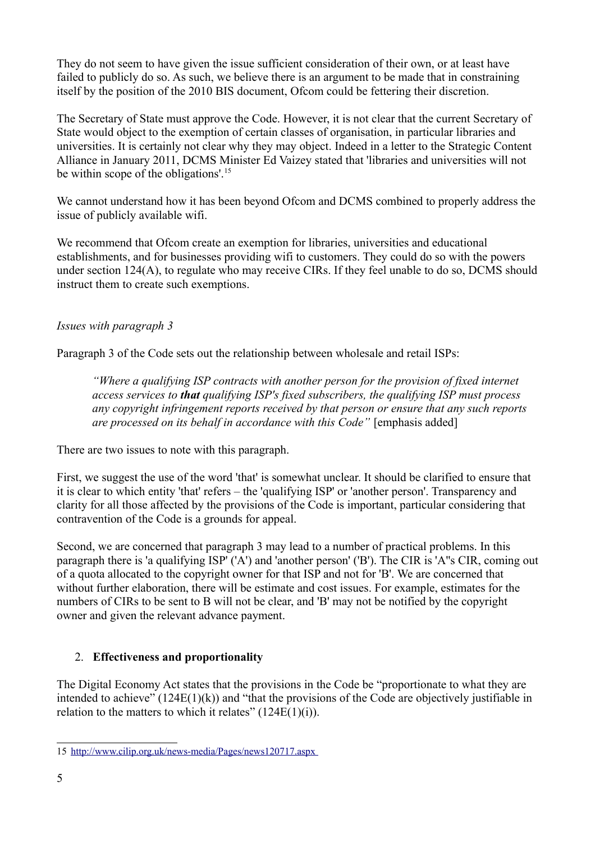They do not seem to have given the issue sufficient consideration of their own, or at least have failed to publicly do so. As such, we believe there is an argument to be made that in constraining itself by the position of the 2010 BIS document, Ofcom could be fettering their discretion.

The Secretary of State must approve the Code. However, it is not clear that the current Secretary of State would object to the exemption of certain classes of organisation, in particular libraries and universities. It is certainly not clear why they may object. Indeed in a letter to the Strategic Content Alliance in January 2011, DCMS Minister Ed Vaizey stated that 'libraries and universities will not be within scope of the obligations'.<sup>[15](#page-4-0)</sup>

We cannot understand how it has been beyond Ofcom and DCMS combined to properly address the issue of publicly available wifi.

We recommend that Ofcom create an exemption for libraries, universities and educational establishments, and for businesses providing wifi to customers. They could do so with the powers under section 124(A), to regulate who may receive CIRs. If they feel unable to do so, DCMS should instruct them to create such exemptions.

## *Issues with paragraph 3*

Paragraph 3 of the Code sets out the relationship between wholesale and retail ISPs:

*"Where a qualifying ISP contracts with another person for the provision of fixed internet access services to that qualifying ISP's fixed subscribers, the qualifying ISP must process any copyright infringement reports received by that person or ensure that any such reports are processed on its behalf in accordance with this Code"* [emphasis added]

There are two issues to note with this paragraph.

First, we suggest the use of the word 'that' is somewhat unclear. It should be clarified to ensure that it is clear to which entity 'that' refers – the 'qualifying ISP' or 'another person'. Transparency and clarity for all those affected by the provisions of the Code is important, particular considering that contravention of the Code is a grounds for appeal.

Second, we are concerned that paragraph 3 may lead to a number of practical problems. In this paragraph there is 'a qualifying ISP' ('A') and 'another person' ('B'). The CIR is 'A''s CIR, coming out of a quota allocated to the copyright owner for that ISP and not for 'B'. We are concerned that without further elaboration, there will be estimate and cost issues. For example, estimates for the numbers of CIRs to be sent to B will not be clear, and 'B' may not be notified by the copyright owner and given the relevant advance payment.

# 2. **Effectiveness and proportionality**

The Digital Economy Act states that the provisions in the Code be "proportionate to what they are intended to achieve" (124E(1)(k)) and "that the provisions of the Code are objectively justifiable in relation to the matters to which it relates"  $(124E(1)(i))$ .

<span id="page-4-0"></span><sup>15</sup><http://www.cilip.org.uk/news-media/Pages/news120717.aspx>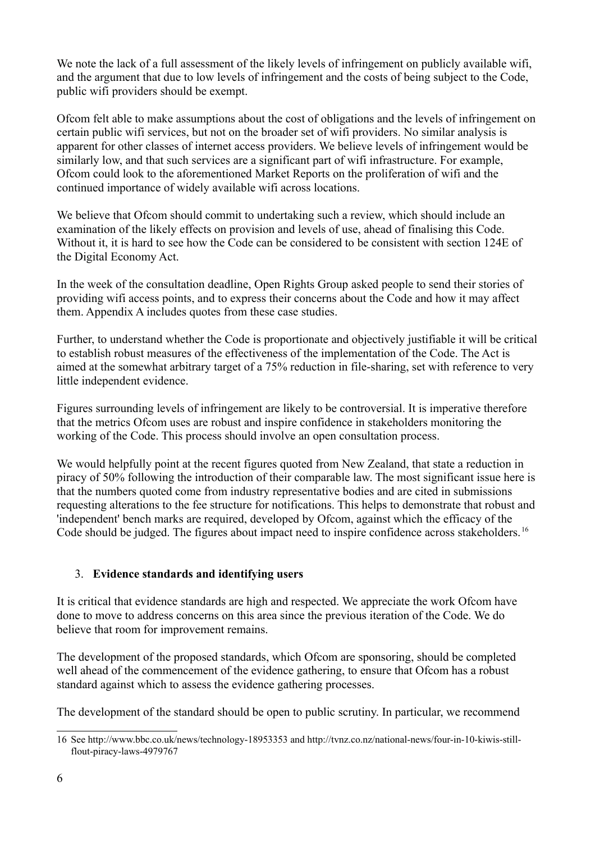We note the lack of a full assessment of the likely levels of infringement on publicly available wifi, and the argument that due to low levels of infringement and the costs of being subject to the Code, public wifi providers should be exempt.

Ofcom felt able to make assumptions about the cost of obligations and the levels of infringement on certain public wifi services, but not on the broader set of wifi providers. No similar analysis is apparent for other classes of internet access providers. We believe levels of infringement would be similarly low, and that such services are a significant part of wifi infrastructure. For example, Ofcom could look to the aforementioned Market Reports on the proliferation of wifi and the continued importance of widely available wifi across locations.

We believe that Ofcom should commit to undertaking such a review, which should include an examination of the likely effects on provision and levels of use, ahead of finalising this Code. Without it, it is hard to see how the Code can be considered to be consistent with section 124E of the Digital Economy Act.

In the week of the consultation deadline, Open Rights Group asked people to send their stories of providing wifi access points, and to express their concerns about the Code and how it may affect them. Appendix A includes quotes from these case studies.

Further, to understand whether the Code is proportionate and objectively justifiable it will be critical to establish robust measures of the effectiveness of the implementation of the Code. The Act is aimed at the somewhat arbitrary target of a 75% reduction in file-sharing, set with reference to very little independent evidence.

Figures surrounding levels of infringement are likely to be controversial. It is imperative therefore that the metrics Ofcom uses are robust and inspire confidence in stakeholders monitoring the working of the Code. This process should involve an open consultation process.

We would helpfully point at the recent figures quoted from New Zealand, that state a reduction in piracy of 50% following the introduction of their comparable law. The most significant issue here is that the numbers quoted come from industry representative bodies and are cited in submissions requesting alterations to the fee structure for notifications. This helps to demonstrate that robust and 'independent' bench marks are required, developed by Ofcom, against which the efficacy of the Code should be judged. The figures about impact need to inspire confidence across stakeholders.<sup>[16](#page-5-0)</sup>

### 3. **Evidence standards and identifying users**

It is critical that evidence standards are high and respected. We appreciate the work Ofcom have done to move to address concerns on this area since the previous iteration of the Code. We do believe that room for improvement remains.

The development of the proposed standards, which Ofcom are sponsoring, should be completed well ahead of the commencement of the evidence gathering, to ensure that Ofcom has a robust standard against which to assess the evidence gathering processes.

The development of the standard should be open to public scrutiny. In particular, we recommend

<span id="page-5-0"></span><sup>16</sup> See http://www.bbc.co.uk/news/technology-18953353 and http://tvnz.co.nz/national-news/four-in-10-kiwis-stillflout-piracy-laws-4979767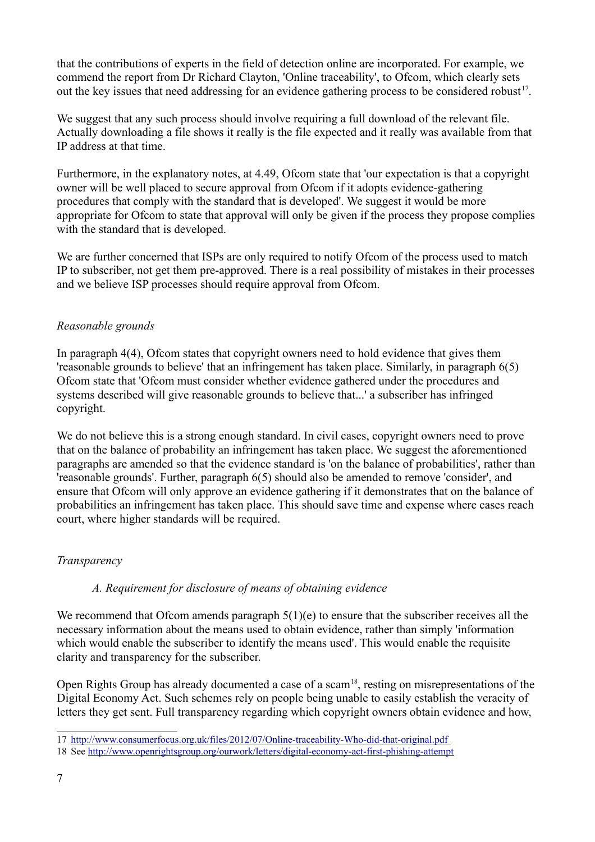that the contributions of experts in the field of detection online are incorporated. For example, we commend the report from Dr Richard Clayton, 'Online traceability', to Ofcom, which clearly sets out the key issues that need addressing for an evidence gathering process to be considered robust<sup>[17](#page-6-0)</sup>.

We suggest that any such process should involve requiring a full download of the relevant file. Actually downloading a file shows it really is the file expected and it really was available from that IP address at that time.

Furthermore, in the explanatory notes, at 4.49, Ofcom state that 'our expectation is that a copyright owner will be well placed to secure approval from Ofcom if it adopts evidence-gathering procedures that comply with the standard that is developed'. We suggest it would be more appropriate for Ofcom to state that approval will only be given if the process they propose complies with the standard that is developed.

We are further concerned that ISPs are only required to notify Ofcom of the process used to match IP to subscriber, not get them pre-approved. There is a real possibility of mistakes in their processes and we believe ISP processes should require approval from Ofcom.

## *Reasonable grounds*

In paragraph 4(4), Ofcom states that copyright owners need to hold evidence that gives them 'reasonable grounds to believe' that an infringement has taken place. Similarly, in paragraph 6(5) Ofcom state that 'Ofcom must consider whether evidence gathered under the procedures and systems described will give reasonable grounds to believe that...' a subscriber has infringed copyright.

We do not believe this is a strong enough standard. In civil cases, copyright owners need to prove that on the balance of probability an infringement has taken place. We suggest the aforementioned paragraphs are amended so that the evidence standard is 'on the balance of probabilities', rather than 'reasonable grounds'. Further, paragraph 6(5) should also be amended to remove 'consider', and ensure that Ofcom will only approve an evidence gathering if it demonstrates that on the balance of probabilities an infringement has taken place. This should save time and expense where cases reach court, where higher standards will be required.

### *Transparency*

### *A. Requirement for disclosure of means of obtaining evidence*

We recommend that Ofcom amends paragraph  $5(1)(e)$  to ensure that the subscriber receives all the necessary information about the means used to obtain evidence, rather than simply 'information which would enable the subscriber to identify the means used'. This would enable the requisite clarity and transparency for the subscriber.

Open Rights Group has already documented a case of a scam<sup>[18](#page-6-1)</sup>, resting on misrepresentations of the Digital Economy Act. Such schemes rely on people being unable to easily establish the veracity of letters they get sent. Full transparency regarding which copyright owners obtain evidence and how,

<span id="page-6-0"></span><sup>17</sup><http://www.consumerfocus.org.uk/files/2012/07/Online-traceability-Who-did-that-original.pdf>

<span id="page-6-1"></span><sup>18</sup> See<http://www.openrightsgroup.org/ourwork/letters/digital-economy-act-first-phishing-attempt>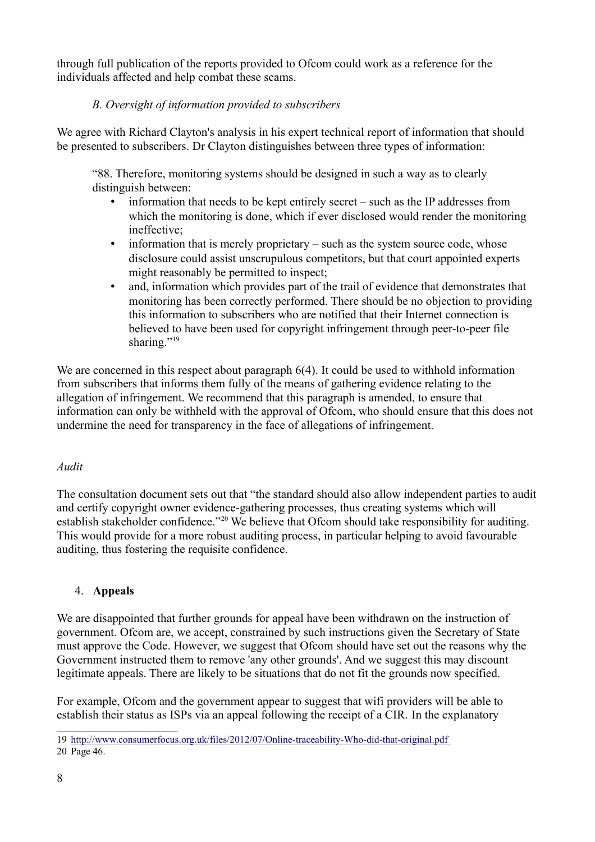through full publication of the reports provided to Ofcom could work as a reference for the individuals affected and help combat these scams.

## *B. Oversight of information provided to subscribers*

We agree with Richard Clayton's analysis in his expert technical report of information that should be presented to subscribers. Dr Clayton distinguishes between three types of information:

"88. Therefore, monitoring systems should be designed in such a way as to clearly distinguish between:

- information that needs to be kept entirely secret such as the IP addresses from which the monitoring is done, which if ever disclosed would render the monitoring ineffective;
- information that is merely proprietary such as the system source code, whose disclosure could assist unscrupulous competitors, but that court appointed experts might reasonably be permitted to inspect;
- and, information which provides part of the trail of evidence that demonstrates that monitoring has been correctly performed. There should be no objection to providing this information to subscribers who are notified that their Internet connection is believed to have been used for copyright infringement through peer-to-peer file sharing."<sup>[19](#page-7-0)</sup>

We are concerned in this respect about paragraph  $6(4)$ . It could be used to withhold information from subscribers that informs them fully of the means of gathering evidence relating to the allegation of infringement. We recommend that this paragraph is amended, to ensure that information can only be withheld with the approval of Ofcom, who should ensure that this does not undermine the need for transparency in the face of allegations of infringement.

### *Audit*

The consultation document sets out that "the standard should also allow independent parties to audit and certify copyright owner evidence-gathering processes, thus creating systems which will establish stakeholder confidence."<sup>[20](#page-7-1)</sup> We believe that Ofcom should take responsibility for auditing. This would provide for a more robust auditing process, in particular helping to avoid favourable auditing, thus fostering the requisite confidence.

### 4. **Appeals**

We are disappointed that further grounds for appeal have been withdrawn on the instruction of government. Ofcom are, we accept, constrained by such instructions given the Secretary of State must approve the Code. However, we suggest that Ofcom should have set out the reasons why the Government instructed them to remove 'any other grounds'. And we suggest this may discount legitimate appeals. There are likely to be situations that do not fit the grounds now specified.

For example, Ofcom and the government appear to suggest that wifi providers will be able to establish their status as ISPs via an appeal following the receipt of a CIR. In the explanatory

<span id="page-7-1"></span><span id="page-7-0"></span><sup>19</sup><http://www.consumerfocus.org.uk/files/2012/07/Online-traceability-Who-did-that-original.pdf> 20 Page 46.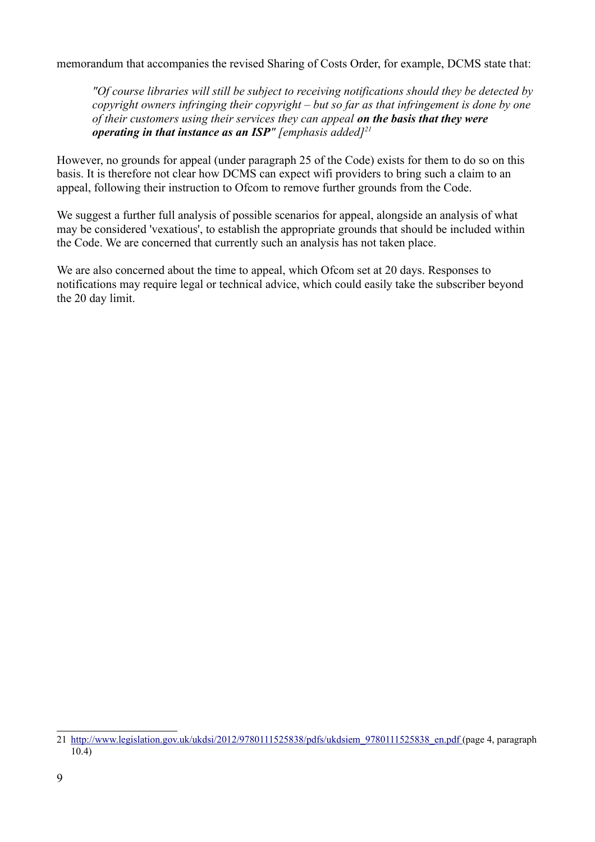memorandum that accompanies the revised Sharing of Costs Order, for example, DCMS state that:

*"Of course libraries will still be subject to receiving notifications should they be detected by copyright owners infringing their copyright – but so far as that infringement is done by one of their customers using their services they can appeal on the basis that they were operating in that instance as an ISP" [emphasis added][21](#page-8-0)*

However, no grounds for appeal (under paragraph 25 of the Code) exists for them to do so on this basis. It is therefore not clear how DCMS can expect wifi providers to bring such a claim to an appeal, following their instruction to Ofcom to remove further grounds from the Code.

We suggest a further full analysis of possible scenarios for appeal, alongside an analysis of what may be considered 'vexatious', to establish the appropriate grounds that should be included within the Code. We are concerned that currently such an analysis has not taken place.

We are also concerned about the time to appeal, which Ofcom set at 20 days. Responses to notifications may require legal or technical advice, which could easily take the subscriber beyond the 20 day limit.

<span id="page-8-0"></span><sup>21</sup> [http://www.legislation.gov.uk/ukdsi/2012/9780111525838/pdfs/ukdsiem\\_9780111525838\\_en.pdf](http://www.legislation.gov.uk/ukdsi/2012/9780111525838/pdfs/ukdsiem_9780111525838_en.pdf) (page 4, paragraph 10.4)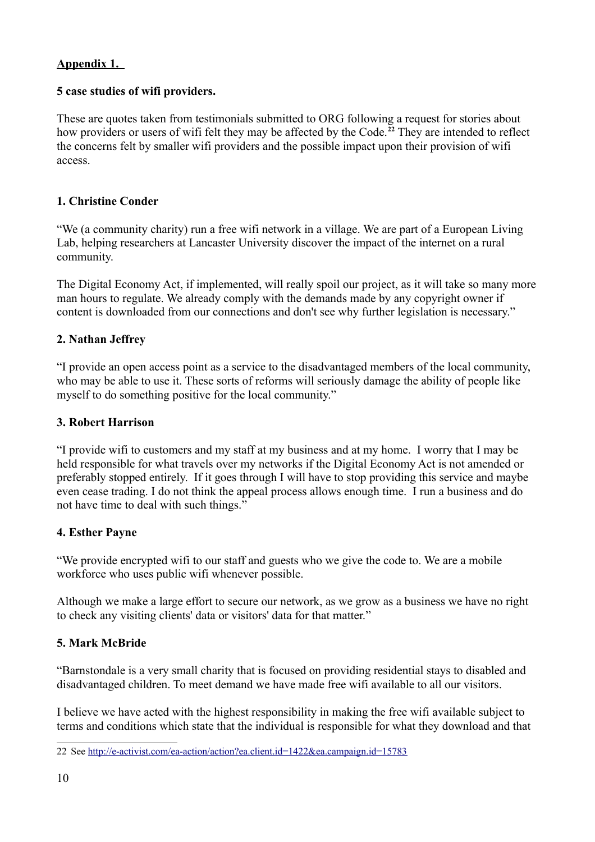# **Appendix 1.**

# **5 case studies of wifi providers.**

These are quotes taken from testimonials submitted to ORG following a request for stories about how providers or users of wifi felt they may be affected by the Code.**[22](#page-9-0)** They are intended to reflect the concerns felt by smaller wifi providers and the possible impact upon their provision of wifi access.

## **1. Christine Conder**

"We (a community charity) run a free wifi network in a village. We are part of a European Living Lab, helping researchers at Lancaster University discover the impact of the internet on a rural community.

The Digital Economy Act, if implemented, will really spoil our project, as it will take so many more man hours to regulate. We already comply with the demands made by any copyright owner if content is downloaded from our connections and don't see why further legislation is necessary."

## **2. Nathan Jeffrey**

"I provide an open access point as a service to the disadvantaged members of the local community, who may be able to use it. These sorts of reforms will seriously damage the ability of people like myself to do something positive for the local community."

### **3. Robert Harrison**

"I provide wifi to customers and my staff at my business and at my home. I worry that I may be held responsible for what travels over my networks if the Digital Economy Act is not amended or preferably stopped entirely. If it goes through I will have to stop providing this service and maybe even cease trading. I do not think the appeal process allows enough time. I run a business and do not have time to deal with such things."

### **4. Esther Payne**

"We provide encrypted wifi to our staff and guests who we give the code to. We are a mobile workforce who uses public wifi whenever possible.

Although we make a large effort to secure our network, as we grow as a business we have no right to check any visiting clients' data or visitors' data for that matter."

# **5. Mark McBride**

"Barnstondale is a very small charity that is focused on providing residential stays to disabled and disadvantaged children. To meet demand we have made free wifi available to all our visitors.

I believe we have acted with the highest responsibility in making the free wifi available subject to terms and conditions which state that the individual is responsible for what they download and that

<span id="page-9-0"></span><sup>22</sup> See<http://e-activist.com/ea-action/action?ea.client.id=1422&ea.campaign.id=15783>